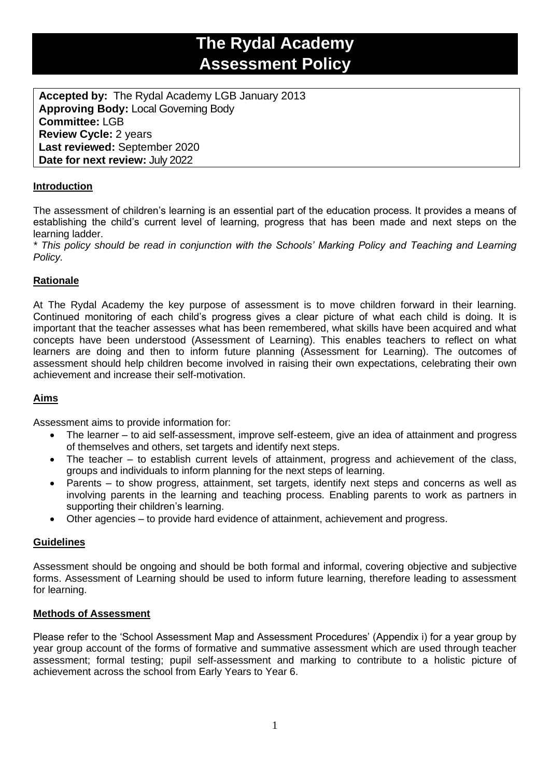# **The Rydal Academy Assessment Policy**

**Accepted by:** The Rydal Academy LGB January 2013 **Approving Body:** Local Governing Body **Committee:** LGB **Review Cycle:** 2 years **Last reviewed:** September 2020 **Date for next review:** July 2022

#### **Introduction**

The assessment of children's learning is an essential part of the education process. It provides a means of establishing the child's current level of learning, progress that has been made and next steps on the learning ladder.

*\* This policy should be read in conjunction with the Schools' Marking Policy and Teaching and Learning Policy.*

### **Rationale**

At The Rydal Academy the key purpose of assessment is to move children forward in their learning. Continued monitoring of each child's progress gives a clear picture of what each child is doing. It is important that the teacher assesses what has been remembered, what skills have been acquired and what concepts have been understood (Assessment of Learning). This enables teachers to reflect on what learners are doing and then to inform future planning (Assessment for Learning). The outcomes of assessment should help children become involved in raising their own expectations, celebrating their own achievement and increase their self-motivation.

#### **Aims**

Assessment aims to provide information for:

- The learner to aid self-assessment, improve self-esteem, give an idea of attainment and progress of themselves and others, set targets and identify next steps.
- The teacher to establish current levels of attainment, progress and achievement of the class, groups and individuals to inform planning for the next steps of learning.
- Parents to show progress, attainment, set targets, identify next steps and concerns as well as involving parents in the learning and teaching process. Enabling parents to work as partners in supporting their children's learning.
- Other agencies to provide hard evidence of attainment, achievement and progress.

#### **Guidelines**

Assessment should be ongoing and should be both formal and informal, covering objective and subjective forms. Assessment of Learning should be used to inform future learning, therefore leading to assessment for learning.

#### **Methods of Assessment**

Please refer to the 'School Assessment Map and Assessment Procedures' (Appendix i) for a year group by year group account of the forms of formative and summative assessment which are used through teacher assessment; formal testing; pupil self-assessment and marking to contribute to a holistic picture of achievement across the school from Early Years to Year 6.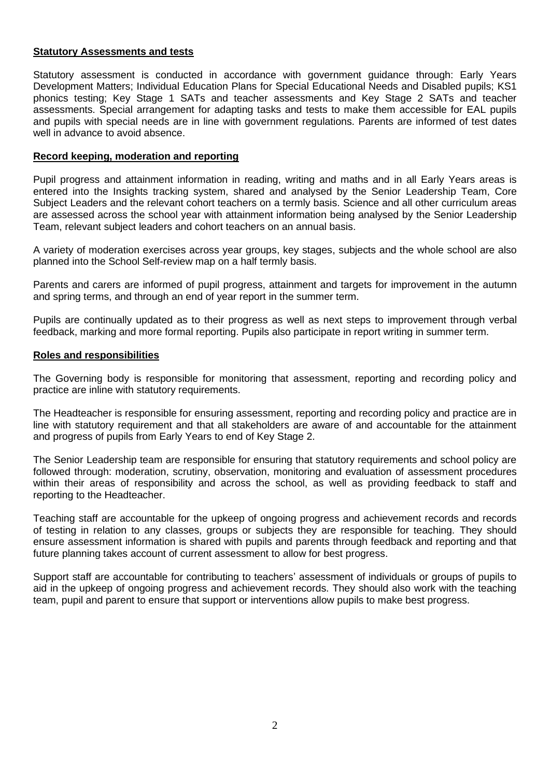#### **Statutory Assessments and tests**

Statutory assessment is conducted in accordance with government guidance through: Early Years Development Matters; Individual Education Plans for Special Educational Needs and Disabled pupils; KS1 phonics testing; Key Stage 1 SATs and teacher assessments and Key Stage 2 SATs and teacher assessments. Special arrangement for adapting tasks and tests to make them accessible for EAL pupils and pupils with special needs are in line with government regulations. Parents are informed of test dates well in advance to avoid absence.

#### **Record keeping, moderation and reporting**

Pupil progress and attainment information in reading, writing and maths and in all Early Years areas is entered into the Insights tracking system, shared and analysed by the Senior Leadership Team, Core Subject Leaders and the relevant cohort teachers on a termly basis. Science and all other curriculum areas are assessed across the school year with attainment information being analysed by the Senior Leadership Team, relevant subject leaders and cohort teachers on an annual basis.

A variety of moderation exercises across year groups, key stages, subjects and the whole school are also planned into the School Self-review map on a half termly basis.

Parents and carers are informed of pupil progress, attainment and targets for improvement in the autumn and spring terms, and through an end of year report in the summer term.

Pupils are continually updated as to their progress as well as next steps to improvement through verbal feedback, marking and more formal reporting. Pupils also participate in report writing in summer term.

#### **Roles and responsibilities**

The Governing body is responsible for monitoring that assessment, reporting and recording policy and practice are inline with statutory requirements.

The Headteacher is responsible for ensuring assessment, reporting and recording policy and practice are in line with statutory requirement and that all stakeholders are aware of and accountable for the attainment and progress of pupils from Early Years to end of Key Stage 2.

The Senior Leadership team are responsible for ensuring that statutory requirements and school policy are followed through: moderation, scrutiny, observation, monitoring and evaluation of assessment procedures within their areas of responsibility and across the school, as well as providing feedback to staff and reporting to the Headteacher.

Teaching staff are accountable for the upkeep of ongoing progress and achievement records and records of testing in relation to any classes, groups or subjects they are responsible for teaching. They should ensure assessment information is shared with pupils and parents through feedback and reporting and that future planning takes account of current assessment to allow for best progress.

Support staff are accountable for contributing to teachers' assessment of individuals or groups of pupils to aid in the upkeep of ongoing progress and achievement records. They should also work with the teaching team, pupil and parent to ensure that support or interventions allow pupils to make best progress.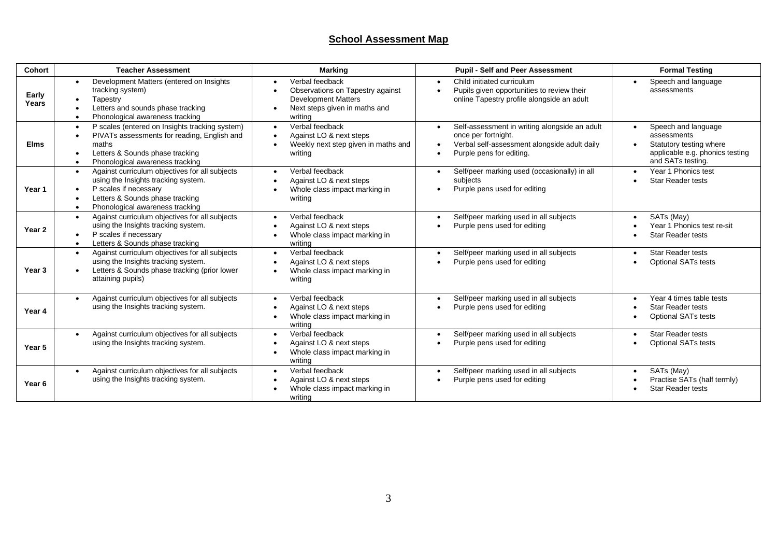## **School Assessment Map**

| Cohort         | <b>Teacher Assessment</b>                                                                                                                                                                         | <b>Marking</b>                                                                                                                | <b>Pupil - Self and Peer Assessment</b>                                                                                                                       | <b>Formal Testing</b>                                                                                                              |
|----------------|---------------------------------------------------------------------------------------------------------------------------------------------------------------------------------------------------|-------------------------------------------------------------------------------------------------------------------------------|---------------------------------------------------------------------------------------------------------------------------------------------------------------|------------------------------------------------------------------------------------------------------------------------------------|
| Early<br>Years | Development Matters (entered on Insights<br>tracking system)<br>Tapestry<br>Letters and sounds phase tracking<br>Phonological awareness tracking                                                  | Verbal feedback<br>Observations on Tapestry against<br><b>Development Matters</b><br>Next steps given in maths and<br>writing | Child initiated curriculum<br>$\bullet$<br>Pupils given opportunities to review their<br>online Tapestry profile alongside an adult                           | Speech and language<br>$\bullet$<br>assessments                                                                                    |
| <b>Elms</b>    | P scales (entered on Insights tracking system)<br>PIVATs assessments for reading, English and<br>maths<br>Letters & Sounds phase tracking<br>Phonological awareness tracking                      | Verbal feedback<br>Against LO & next steps<br>Weekly next step given in maths and<br>writing                                  | Self-assessment in writing alongside an adult<br>$\bullet$<br>once per fortnight.<br>Verbal self-assessment alongside adult daily<br>Purple pens for editing. | Speech and language<br>$\bullet$<br>assessments<br>Statutory testing where<br>applicable e.g. phonics testing<br>and SATs testing. |
| Year 1         | Against curriculum objectives for all subjects<br>$\bullet$<br>using the Insights tracking system.<br>P scales if necessary<br>Letters & Sounds phase tracking<br>Phonological awareness tracking | Verbal feedback<br>Against LO & next steps<br>Whole class impact marking in<br>writing                                        | Self/peer marking used (occasionally) in all<br>$\bullet$<br>subjects<br>Purple pens used for editing                                                         | Year 1 Phonics test<br><b>Star Reader tests</b>                                                                                    |
| Year 2         | Against curriculum objectives for all subjects<br>$\bullet$<br>using the Insights tracking system.<br>P scales if necessary<br>Letters & Sounds phase tracking                                    | Verbal feedback<br>Against LO & next steps<br>Whole class impact marking in<br>writing                                        | Self/peer marking used in all subjects<br>$\bullet$<br>Purple pens used for editing                                                                           | SATs (May)<br>Year 1 Phonics test re-sit<br><b>Star Reader tests</b>                                                               |
| Year 3         | Against curriculum objectives for all subjects<br>using the Insights tracking system.<br>Letters & Sounds phase tracking (prior lower<br>attaining pupils)                                        | Verbal feedback<br>Against LO & next steps<br>Whole class impact marking in<br>writing                                        | Self/peer marking used in all subjects<br>$\bullet$<br>Purple pens used for editing                                                                           | Star Reader tests<br><b>Optional SATs tests</b>                                                                                    |
| Year 4         | Against curriculum objectives for all subjects<br>using the Insights tracking system.                                                                                                             | Verbal feedback<br>Against LO & next steps<br>Whole class impact marking in<br>writing                                        | Self/peer marking used in all subjects<br>$\bullet$<br>Purple pens used for editing                                                                           | Year 4 times table tests<br><b>Star Reader tests</b><br><b>Optional SATs tests</b>                                                 |
| Year 5         | Against curriculum objectives for all subjects<br>using the Insights tracking system.                                                                                                             | Verbal feedback<br>Against LO & next steps<br>Whole class impact marking in<br>writing                                        | Self/peer marking used in all subjects<br>$\bullet$<br>Purple pens used for editing                                                                           | <b>Star Reader tests</b><br><b>Optional SATs tests</b>                                                                             |
| Year 6         | Against curriculum objectives for all subjects<br>using the Insights tracking system.                                                                                                             | Verbal feedback<br>Against LO & next steps<br>Whole class impact marking in<br>writing                                        | Self/peer marking used in all subjects<br>$\bullet$<br>Purple pens used for editing                                                                           | SATs (May)<br>$\bullet$<br>Practise SATs (half termly)<br><b>Star Reader tests</b>                                                 |